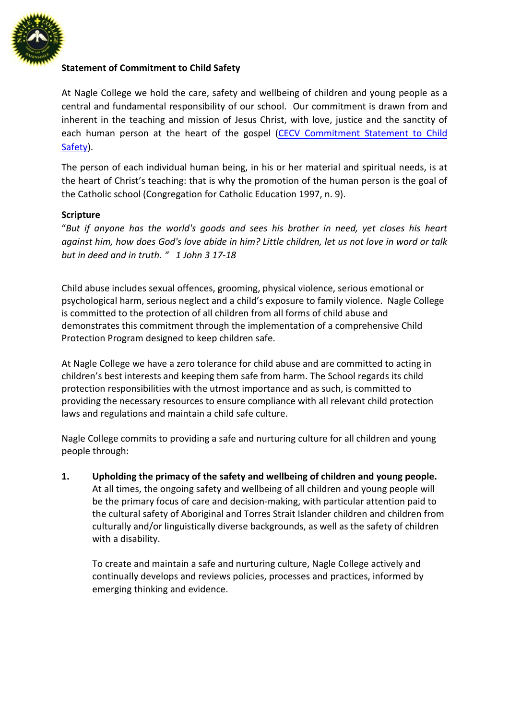

## **Statement of Commitment to Child Safety**

At Nagle College we hold the care, safety and wellbeing of children and young people as a central and fundamental responsibility of our school. Our commitment is drawn from and inherent in the teaching and mission of Jesus Christ, with love, justice and the sanctity of each human person at the heart of the gospel [\(CECV Commitment Statement to Child](http://cevn.cecv.catholic.edu.au/WorkArea/DownloadAsset.aspx?id=8589940582)  [Safety\)](http://cevn.cecv.catholic.edu.au/WorkArea/DownloadAsset.aspx?id=8589940582).

The person of each individual human being, in his or her material and spiritual needs, is at the heart of Christ's teaching: that is why the promotion of the human person is the goal of the Catholic school (Congregation for Catholic Education 1997, n. 9).

#### **Scripture**

"*But if anyone has the world's goods and sees his brother in need, yet closes his heart against him, how does God's love abide in him? Little children, let us not love in word or talk but in deed and in truth. " 1 John 3 17-18*

Child abuse includes sexual offences, grooming, physical violence, serious emotional or psychological harm, serious neglect and a child's exposure to family violence. Nagle College is committed to the protection of all children from all forms of child abuse and demonstrates this commitment through the implementation of a comprehensive Child Protection Program designed to keep children safe.

At Nagle College we have a zero tolerance for child abuse and are committed to acting in children's best interests and keeping them safe from harm. The School regards its child protection responsibilities with the utmost importance and as such, is committed to providing the necessary resources to ensure compliance with all relevant child protection laws and regulations and maintain a child safe culture.

Nagle College commits to providing a safe and nurturing culture for all children and young people through:

**1. Upholding the primacy of the safety and wellbeing of children and young people.** At all times, the ongoing safety and wellbeing of all children and young people will be the primary focus of care and decision-making, with particular attention paid to the cultural safety of Aboriginal and Torres Strait Islander children and children from culturally and/or linguistically diverse backgrounds, as well as the safety of children with a disability.

To create and maintain a safe and nurturing culture, Nagle College actively and continually develops and reviews policies, processes and practices, informed by emerging thinking and evidence.